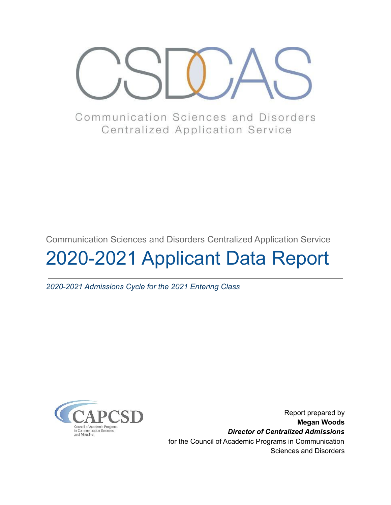

Communication Sciences and Disorders **Centralized Application Service** 

Communication Sciences and Disorders Centralized Application Service

# 2020-2021 Applicant Data Report

*2020-2021 Admissions Cycle for the 2021 Entering Class*



Report prepared by **Megan Woods** *Director of Centralized Admissions* for the Council of Academic Programs in Communication Sciences and Disorders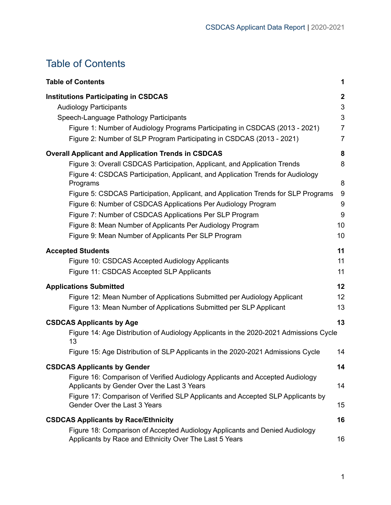# <span id="page-1-0"></span>Table of Contents

| <b>Table of Contents</b>                                                                                                                                                                                                                                                                                                                                                                                                                                                                                                                                                    | 1                                                                           |
|-----------------------------------------------------------------------------------------------------------------------------------------------------------------------------------------------------------------------------------------------------------------------------------------------------------------------------------------------------------------------------------------------------------------------------------------------------------------------------------------------------------------------------------------------------------------------------|-----------------------------------------------------------------------------|
| <b>Institutions Participating in CSDCAS</b><br><b>Audiology Participants</b><br>Speech-Language Pathology Participants<br>Figure 1: Number of Audiology Programs Participating in CSDCAS (2013 - 2021)<br>Figure 2: Number of SLP Program Participating in CSDCAS (2013 - 2021)                                                                                                                                                                                                                                                                                             | $\boldsymbol{2}$<br>$\mathfrak{S}$<br>3<br>$\overline{7}$<br>$\overline{7}$ |
| <b>Overall Applicant and Application Trends in CSDCAS</b><br>Figure 3: Overall CSDCAS Participation, Applicant, and Application Trends<br>Figure 4: CSDCAS Participation, Applicant, and Application Trends for Audiology<br>Programs<br>Figure 5: CSDCAS Participation, Applicant, and Application Trends for SLP Programs<br>Figure 6: Number of CSDCAS Applications Per Audiology Program<br>Figure 7: Number of CSDCAS Applications Per SLP Program<br>Figure 8: Mean Number of Applicants Per Audiology Program<br>Figure 9: Mean Number of Applicants Per SLP Program | 8<br>8<br>8<br>9<br>9<br>9<br>10<br>10                                      |
| <b>Accepted Students</b><br>Figure 10: CSDCAS Accepted Audiology Applicants<br>Figure 11: CSDCAS Accepted SLP Applicants                                                                                                                                                                                                                                                                                                                                                                                                                                                    | 11<br>11<br>11                                                              |
| <b>Applications Submitted</b><br>Figure 12: Mean Number of Applications Submitted per Audiology Applicant<br>Figure 13: Mean Number of Applications Submitted per SLP Applicant                                                                                                                                                                                                                                                                                                                                                                                             | 12<br>12<br>13                                                              |
| <b>CSDCAS Applicants by Age</b><br>Figure 14: Age Distribution of Audiology Applicants in the 2020-2021 Admissions Cycle<br>13<br>Figure 15: Age Distribution of SLP Applicants in the 2020-2021 Admissions Cycle                                                                                                                                                                                                                                                                                                                                                           | 13<br>14                                                                    |
| <b>CSDCAS Applicants by Gender</b>                                                                                                                                                                                                                                                                                                                                                                                                                                                                                                                                          | 14                                                                          |
| Figure 16: Comparison of Verified Audiology Applicants and Accepted Audiology<br>Applicants by Gender Over the Last 3 Years<br>Figure 17: Comparison of Verified SLP Applicants and Accepted SLP Applicants by<br>Gender Over the Last 3 Years                                                                                                                                                                                                                                                                                                                              | 14<br>15                                                                    |
| <b>CSDCAS Applicants by Race/Ethnicity</b>                                                                                                                                                                                                                                                                                                                                                                                                                                                                                                                                  | 16                                                                          |
| Figure 18: Comparison of Accepted Audiology Applicants and Denied Audiology<br>Applicants by Race and Ethnicity Over The Last 5 Years                                                                                                                                                                                                                                                                                                                                                                                                                                       | 16                                                                          |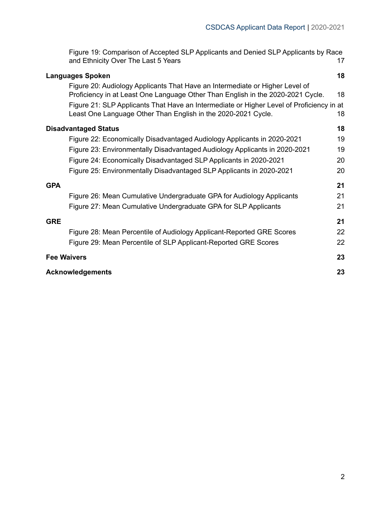| Figure 19: Comparison of Accepted SLP Applicants and Denied SLP Applicants by Race |  |
|------------------------------------------------------------------------------------|--|
| and Ethnicity Over The Last 5 Years                                                |  |

| <b>Languages Spoken</b>                                                                                                                                         | 18 |
|-----------------------------------------------------------------------------------------------------------------------------------------------------------------|----|
| Figure 20: Audiology Applicants That Have an Intermediate or Higher Level of<br>Proficiency in at Least One Language Other Than English in the 2020-2021 Cycle. | 18 |
| Figure 21: SLP Applicants That Have an Intermediate or Higher Level of Proficiency in at<br>Least One Language Other Than English in the 2020-2021 Cycle.       | 18 |
| <b>Disadvantaged Status</b>                                                                                                                                     | 18 |
| Figure 22: Economically Disadvantaged Audiology Applicants in 2020-2021                                                                                         | 19 |
| Figure 23: Environmentally Disadvantaged Audiology Applicants in 2020-2021                                                                                      | 19 |
| Figure 24: Economically Disadvantaged SLP Applicants in 2020-2021                                                                                               | 20 |
| Figure 25: Environmentally Disadvantaged SLP Applicants in 2020-2021                                                                                            | 20 |
| GPA                                                                                                                                                             | 21 |
| Figure 26: Mean Cumulative Undergraduate GPA for Audiology Applicants                                                                                           | 21 |
| Figure 27: Mean Cumulative Undergraduate GPA for SLP Applicants                                                                                                 | 21 |
| <b>GRE</b>                                                                                                                                                      | 21 |
| Figure 28: Mean Percentile of Audiology Applicant-Reported GRE Scores                                                                                           | 22 |
| Figure 29: Mean Percentile of SLP Applicant-Reported GRE Scores                                                                                                 | 22 |
| <b>Fee Waivers</b>                                                                                                                                              | 23 |
| <b>Acknowledgements</b>                                                                                                                                         | 23 |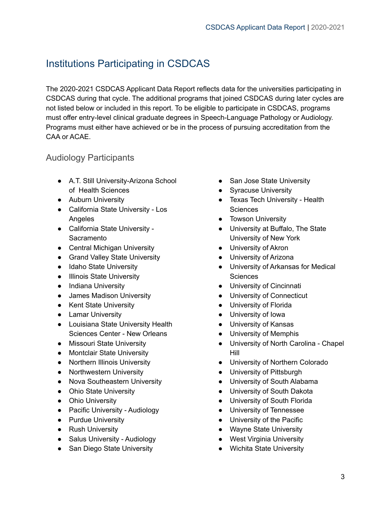# <span id="page-3-0"></span>Institutions Participating in CSDCAS

The 2020-2021 CSDCAS Applicant Data Report reflects data for the universities participating in CSDCAS during that cycle. The additional programs that joined CSDCAS during later cycles are not listed below or included in this report. To be eligible to participate in CSDCAS, programs must offer entry-level clinical graduate degrees in Speech-Language Pathology or Audiology. Programs must either have achieved or be in the process of pursuing accreditation from the CAA or ACAE.

#### <span id="page-3-1"></span>Audiology Participants

- A.T. Still University-Arizona School of Health Sciences
- Auburn University
- California State University Los Angeles
- California State University **Sacramento**
- Central Michigan University
- Grand Valley State University
- Idaho State University
- Illinois State University
- Indiana University
- James Madison University
- Kent State University
- Lamar University
- Louisiana State University Health Sciences Center - New Orleans
- Missouri State University
- Montclair State University
- Northern Illinois University
- Northwestern University
- Nova Southeastern University
- Ohio State University
- Ohio University
- Pacific University Audiology
- Purdue University
- Rush University
- Salus University Audiology
- San Diego State University
- San Jose State University
- Syracuse University
- Texas Tech University Health **Sciences**
- Towson University
- University at Buffalo, The State University of New York
- University of Akron
- University of Arizona
- University of Arkansas for Medical **Sciences**
- University of Cincinnati
- University of Connecticut
- University of Florida
- University of Iowa
- University of Kansas
- University of Memphis
- University of North Carolina Chapel Hill
- University of Northern Colorado
- University of Pittsburgh
- University of South Alabama
- University of South Dakota
- University of South Florida
- University of Tennessee
- University of the Pacific
- Wayne State University
- West Virginia University
- Wichita State University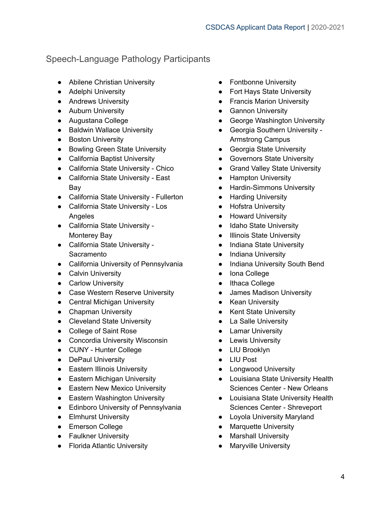### <span id="page-4-0"></span>Speech-Language Pathology Participants

- Abilene Christian University
- Adelphi University
- **•** Andrews University
- Auburn University
- Augustana College
- Baldwin Wallace University
- Boston University
- Bowling Green State University
- California Baptist University
- California State University Chico
- California State University East Bay
- California State University Fullerton
- California State University Los Angeles
- California State University Monterey Bay
- California State University Sacramento
- California University of Pennsylvania
- **•** Calvin University
- Carlow University
- Case Western Reserve University
- Central Michigan University
- Chapman University
- Cleveland State University
- College of Saint Rose
- Concordia University Wisconsin
- CUNY Hunter College
- DePaul University
- Eastern Illinois University
- Eastern Michigan University
- Eastern New Mexico University
- Eastern Washington University
- **•** Edinboro University of Pennsylvania
- **•** Elmhurst University
- Emerson College
- Faulkner University
- Florida Atlantic University
- Fontbonne University
- Fort Hays State University
- Francis Marion University
- Gannon University
- George Washington University
- Georgia Southern University Armstrong Campus
- Georgia State University
- Governors State University
- Grand Valley State University
- Hampton University
- Hardin-Simmons University
- Harding University
- Hofstra University
- Howard University
- Idaho State University
- Illinois State University
- Indiana State University
- Indiana University
- Indiana University South Bend
- Iona College
- Ithaca College
- James Madison University
- Kean University
- Kent State University
- La Salle University
- Lamar University
- Lewis University
- LIU Brooklyn
- LIU Post
- Longwood University
- Louisiana State University Health Sciences Center - New Orleans
- Louisiana State University Health Sciences Center - Shreveport
- Loyola University Maryland
- Marquette University
- Marshall University
- Maryville University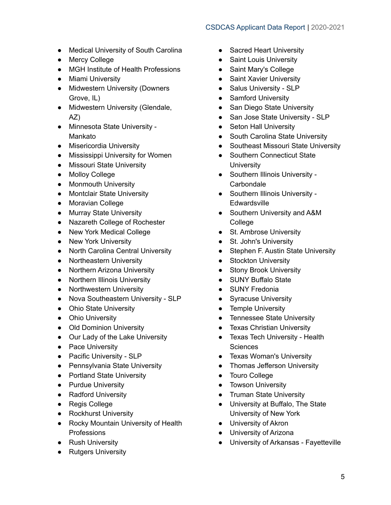- Medical University of South Carolina
- Mercy College
- MGH Institute of Health Professions
- Miami University
- Midwestern University (Downers Grove, IL)
- Midwestern University (Glendale, AZ)
- Minnesota State University Mankato
- Misericordia University
- Mississippi University for Women
- Missouri State University
- Molloy College
- Monmouth University
- Montclair State University
- Moravian College
- Murray State University
- Nazareth College of Rochester
- New York Medical College
- New York University
- North Carolina Central University
- Northeastern University
- Northern Arizona University
- Northern Illinois University
- Northwestern University
- Nova Southeastern University SLP
- Ohio State University
- Ohio University
- Old Dominion University
- Our Lady of the Lake University
- Pace University
- Pacific University SLP
- Pennsylvania State University
- Portland State University
- Purdue University
- Radford University
- Regis College
- Rockhurst University
- Rocky Mountain University of Health Professions
- Rush University
- Rutgers University
- Sacred Heart University
- Saint Louis University
- Saint Mary's College
- Saint Xavier University
- Salus University SLP
- Samford University
- San Diego State University
- San Jose State University SLP
- Seton Hall University
- South Carolina State University
- Southeast Missouri State University
- Southern Connecticut State **University**
- Southern Illinois University -**Carbondale**
- Southern Illinois University -**Edwardsville**
- Southern University and A&M **College**
- St. Ambrose University
- St. John's University
- Stephen F. Austin State University
- Stockton University
- Stony Brook University
- SUNY Buffalo State
- SUNY Fredonia
- Syracuse University
- Temple University
- Tennessee State University
- Texas Christian University
- Texas Tech University Health **Sciences**
- Texas Woman's University
- Thomas Jefferson University
- Touro College
- Towson University
- Truman State University
- University at Buffalo, The State University of New York
- University of Akron
- University of Arizona
- University of Arkansas Fayetteville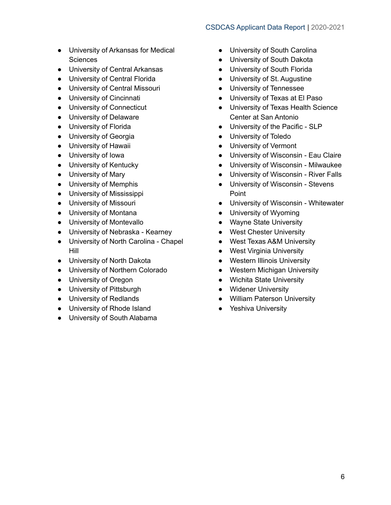- University of Arkansas for Medical **Sciences**
- University of Central Arkansas
- University of Central Florida
- University of Central Missouri
- University of Cincinnati
- University of Connecticut
- University of Delaware
- University of Florida
- University of Georgia
- University of Hawaii
- University of Iowa
- University of Kentucky
- University of Mary
- University of Memphis
- University of Mississippi
- University of Missouri
- University of Montana
- University of Montevallo
- University of Nebraska Kearney
- University of North Carolina Chapel Hill
- University of North Dakota
- University of Northern Colorado
- University of Oregon
- University of Pittsburgh
- University of Redlands
- University of Rhode Island
- University of South Alabama
- University of South Carolina
- University of South Dakota
- University of South Florida
- University of St. Augustine
- University of Tennessee
- University of Texas at El Paso
- University of Texas Health Science Center at San Antonio
- University of the Pacific SLP
- University of Toledo
- University of Vermont
- University of Wisconsin Eau Claire
- University of Wisconsin Milwaukee
- University of Wisconsin River Falls
- University of Wisconsin Stevens Point
- University of Wisconsin Whitewater
- University of Wyoming
- Wayne State University
- West Chester University
- West Texas A&M University
- West Virginia University
- Western Illinois University
- Western Michigan University
- Wichita State University
- Widener University
- William Paterson University
- Yeshiva University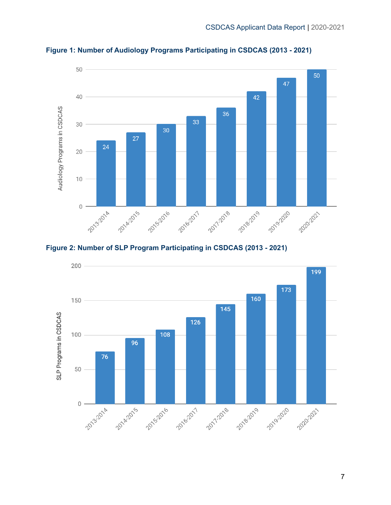

<span id="page-7-0"></span>**Figure 1: Number of Audiology Programs Participating in CSDCAS (2013 - 2021)**

<span id="page-7-1"></span>

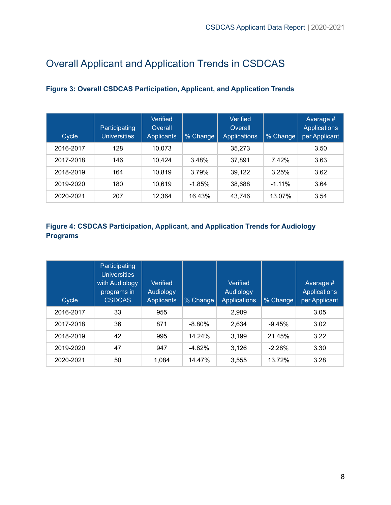# <span id="page-8-0"></span>Overall Applicant and Application Trends in CSDCAS

| Cycle     | Participating<br><b>Universities</b> | Verified<br>Overall<br><b>Applicants</b> | % Change | Verified<br>Overall<br><b>Applications</b> | % Change  | Average #<br><b>Applications</b><br>per Applicant |
|-----------|--------------------------------------|------------------------------------------|----------|--------------------------------------------|-----------|---------------------------------------------------|
| 2016-2017 | 128                                  | 10.073                                   |          | 35.273                                     |           | 3.50                                              |
| 2017-2018 | 146                                  | 10.424                                   | 3.48%    | 37.891                                     | 7.42%     | 3.63                                              |
| 2018-2019 | 164                                  | 10.819                                   | 3.79%    | 39,122                                     | 3.25%     | 3.62                                              |
| 2019-2020 | 180                                  | 10.619                                   | $-1.85%$ | 38,688                                     | $-1.11\%$ | 3.64                                              |
| 2020-2021 | 207                                  | 12,364                                   | 16.43%   | 43,746                                     | 13.07%    | 3.54                                              |

#### <span id="page-8-1"></span>**Figure 3: Overall CSDCAS Participation, Applicant, and Application Trends**

#### <span id="page-8-2"></span>**Figure 4: CSDCAS Participation, Applicant, and Application Trends for Audiology Programs**

| Cycle     | <b>Participating</b><br><b>Universities</b><br>with Audiology<br>programs in<br><b>CSDCAS</b> | <b>Verified</b><br>Audiology<br><b>Applicants</b> | % Change | Verified<br>Audiology<br><b>Applications</b> | % Change | Average #<br><b>Applications</b><br>per Applicant |
|-----------|-----------------------------------------------------------------------------------------------|---------------------------------------------------|----------|----------------------------------------------|----------|---------------------------------------------------|
| 2016-2017 | 33                                                                                            | 955                                               |          | 2,909                                        |          | 3.05                                              |
| 2017-2018 | 36                                                                                            | 871                                               | $-8.80%$ | 2,634                                        | $-9.45%$ | 3.02                                              |
| 2018-2019 | 42                                                                                            | 995                                               | 14.24%   | 3,199                                        | 21.45%   | 3.22                                              |
| 2019-2020 | 47                                                                                            | 947                                               | $-4.82%$ | 3,126                                        | $-2.28%$ | 3.30                                              |
| 2020-2021 | 50                                                                                            | 1,084                                             | 14.47%   | 3,555                                        | 13.72%   | 3.28                                              |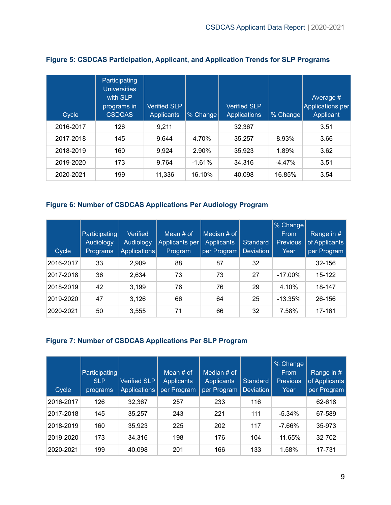| Cycle     | Participating<br><b>Universities</b><br>with SLP<br>programs in<br><b>CSDCAS</b> | <b>Verified SLP</b><br><b>Applicants</b> | % Change | <b>Verified SLP</b><br><b>Applications</b> | % Change | Average #<br><b>Applications per</b><br>Applicant |
|-----------|----------------------------------------------------------------------------------|------------------------------------------|----------|--------------------------------------------|----------|---------------------------------------------------|
| 2016-2017 | 126                                                                              | 9,211                                    |          | 32,367                                     |          | 3.51                                              |
| 2017-2018 | 145                                                                              | 9.644                                    | 4.70%    | 35,257                                     | 8.93%    | 3.66                                              |
| 2018-2019 | 160                                                                              | 9.924                                    | 2.90%    | 35,923                                     | 1.89%    | 3.62                                              |
| 2019-2020 | 173                                                                              | 9,764                                    | $-1.61%$ | 34,316                                     | $-4.47%$ | 3.51                                              |
| 2020-2021 | 199                                                                              | 11,336                                   | 16.10%   | 40,098                                     | 16.85%   | 3.54                                              |

#### <span id="page-9-0"></span>**Figure 5: CSDCAS Participation, Applicant, and Application Trends for SLP Programs**

#### <span id="page-9-1"></span>**Figure 6: Number of CSDCAS Applications Per Audiology Program**

| Cycle     | Participating<br>Audiology<br>Programs | <b>Verified</b><br><b>Audiology</b><br>Applications | Mean $#$ of<br>Applicants per<br>Program | Median # of<br><b>Applicants</b><br>per Program | Standard<br><b>Deviation</b> | % Change<br>From<br><b>Previous</b><br>Year | Range in $#$<br>of Applicants<br>per Program |
|-----------|----------------------------------------|-----------------------------------------------------|------------------------------------------|-------------------------------------------------|------------------------------|---------------------------------------------|----------------------------------------------|
| 2016-2017 | 33                                     | 2.909                                               | 88                                       | 87                                              | 32                           |                                             | 32-156                                       |
| 2017-2018 | 36                                     | 2,634                                               | 73                                       | 73                                              | 27                           | $-17.00\%$                                  | 15-122                                       |
| 2018-2019 | 42                                     | 3,199                                               | 76                                       | 76                                              | 29                           | 4.10%                                       | 18-147                                       |
| 2019-2020 | 47                                     | 3,126                                               | 66                                       | 64                                              | 25                           | $-13.35\%$                                  | 26-156                                       |
| 2020-2021 | 50                                     | 3,555                                               | 71                                       | 66                                              | 32                           | 7.58%                                       | 17-161                                       |

#### <span id="page-9-2"></span>**Figure 7: Number of CSDCAS Applications Per SLP Program**

| Cycle     | Participating<br><b>SLP</b><br>programs | Verified SLP<br>Applications | Mean $#$ of<br><b>Applicants</b><br>per Program | Median # of<br><b>Applicants</b><br>per Program | Standard<br><b>Deviation</b> | % Change<br>From<br><b>Previous</b><br>Year | Range in #<br>of Applicants<br>per Program |
|-----------|-----------------------------------------|------------------------------|-------------------------------------------------|-------------------------------------------------|------------------------------|---------------------------------------------|--------------------------------------------|
| 2016-2017 | 126                                     | 32,367                       | 257                                             | 233                                             | 116                          |                                             | 62-618                                     |
| 2017-2018 | 145                                     | 35,257                       | 243                                             | 221                                             | 111                          | $-5.34\%$                                   | 67-589                                     |
| 2018-2019 | 160                                     | 35,923                       | 225                                             | 202                                             | 117                          | $-7.66%$                                    | 35-973                                     |
| 2019-2020 | 173                                     | 34,316                       | 198                                             | 176                                             | 104                          | $-11.65%$                                   | 32-702                                     |
| 2020-2021 | 199                                     | 40,098                       | 201                                             | 166                                             | 133                          | 1.58%                                       | 17-731                                     |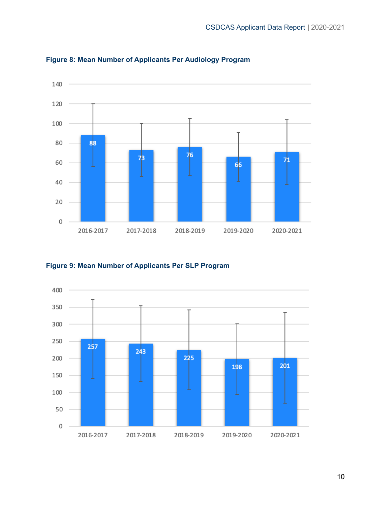

<span id="page-10-0"></span>**Figure 8: Mean Number of Applicants Per Audiology Program**

<span id="page-10-1"></span>**Figure 9: Mean Number of Applicants Per SLP Program**

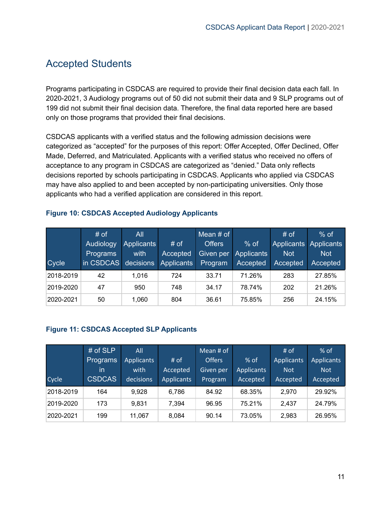### <span id="page-11-0"></span>Accepted Students

Programs participating in CSDCAS are required to provide their final decision data each fall. In 2020-2021, 3 Audiology programs out of 50 did not submit their data and 9 SLP programs out of 199 did not submit their final decision data. Therefore, the final data reported here are based only on those programs that provided their final decisions.

CSDCAS applicants with a verified status and the following admission decisions were categorized as "accepted" for the purposes of this report: Offer Accepted, Offer Declined, Offer Made, Deferred, and Matriculated. Applicants with a verified status who received no offers of acceptance to any program in CSDCAS are categorized as "denied." Data only reflects decisions reported by schools participating in CSDCAS. Applicants who applied via CSDCAS may have also applied to and been accepted by non-participating universities. Only those applicants who had a verified application are considered in this report.

|           | # of      | All               |                   | Mean $#$ of   |                   | # of       | $%$ of                |
|-----------|-----------|-------------------|-------------------|---------------|-------------------|------------|-----------------------|
|           | Audiology | <b>Applicants</b> | # of              | <b>Offers</b> | $%$ of            |            | Applicants Applicants |
|           | Programs  | with              | Accepted          | Given per     | <b>Applicants</b> | <b>Not</b> | <b>Not</b>            |
| Cycle     | in CSDCAS | decisions         | <b>Applicants</b> | Program       | Accepted          | Accepted   | Accepted              |
| 2018-2019 | 42        | 1,016             | 724               | 33.71         | 71.26%            | 283        | 27.85%                |
| 2019-2020 | 47        | 950               | 748               | 34.17         | 78.74%            | 202        | 21.26%                |
| 2020-2021 | 50        | 1,060             | 804               | 36.61         | 75.85%            | 256        | 24.15%                |

#### <span id="page-11-1"></span>**Figure 10: CSDCAS Accepted Audiology Applicants**

#### <span id="page-11-2"></span>**Figure 11: CSDCAS Accepted SLP Applicants**

|           | # of SLP      | All               |            | Mean # of     |                   | $#$ of            | $%$ of            |
|-----------|---------------|-------------------|------------|---------------|-------------------|-------------------|-------------------|
|           | Programs      | <b>Applicants</b> | $#$ of     | <b>Offers</b> | $%$ of            | <b>Applicants</b> | <b>Applicants</b> |
|           | -in           | with              | Accepted   | Given per     | <b>Applicants</b> | <b>Not</b>        | <b>Not</b>        |
| Cycle     | <b>CSDCAS</b> | decisions         | Applicants | Program       | Accepted          | Accepted          | Accepted          |
| 2018-2019 | 164           | 9.928             | 6,786      | 84.92         | 68.35%            | 2,970             | 29.92%            |
| 2019-2020 | 173           | 9.831             | 7,394      | 96.95         | 75.21%            | 2.437             | 24.79%            |
| 2020-2021 | 199           | 11,067            | 8,084      | 90.14         | 73.05%            | 2,983             | 26.95%            |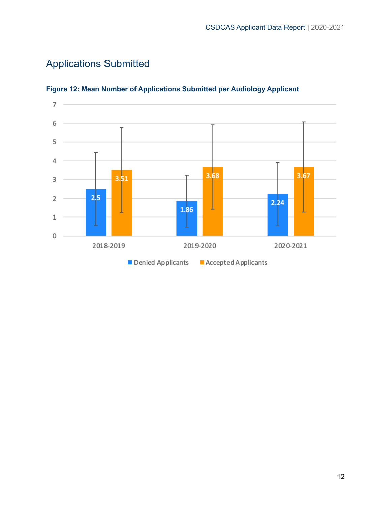<span id="page-12-0"></span>



#### <span id="page-12-1"></span>**Figure 12: Mean Number of Applications Submitted per Audiology Applicant**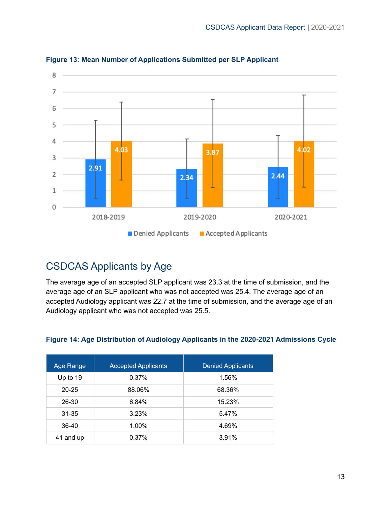

#### <span id="page-13-0"></span>**Figure 13: Mean Number of Applications Submitted per SLP Applicant**

### <span id="page-13-1"></span>CSDCAS Applicants by Age

The average age of an accepted SLP applicant was 23.3 at the time of submission, and the average age of an SLP applicant who was not accepted was 25.4. The average age of an accepted Audiology applicant was 22.7 at the time of submission, and the average age of an Audiology applicant who was not accepted was 25.5.

| Age Range  | <b>Accepted Applicants</b> | <b>Denied Applicants</b> |
|------------|----------------------------|--------------------------|
| Up to $19$ | 0.37%                      | 1.56%                    |
| $20 - 25$  | 88.06%                     | 68.36%                   |
| 26-30      | 6.84%                      | 15.23%                   |
| $31 - 35$  | 3.23%                      | 5.47%                    |
| 36-40      | 1.00%                      | 4.69%                    |
| 41 and up  | 0.37%                      | 3.91%                    |

#### <span id="page-13-2"></span>**Figure 14: Age Distribution of Audiology Applicants in the 2020-2021 Admissions Cycle**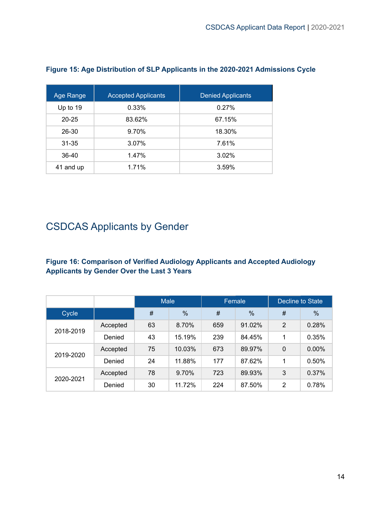| Age Range | <b>Accepted Applicants</b> | <b>Denied Applicants</b> |
|-----------|----------------------------|--------------------------|
| Up to 19  | 0.33%                      | 0.27%                    |
| $20 - 25$ | 83.62%                     | 67.15%                   |
| 26-30     | 9.70%                      | 18.30%                   |
| $31 - 35$ | 3.07%                      | 7.61%                    |
| 36-40     | 1.47%                      | 3.02%                    |
| 41 and up | 1.71%                      | 3.59%                    |

#### <span id="page-14-0"></span>**Figure 15: Age Distribution of SLP Applicants in the 2020-2021 Admissions Cycle**

# <span id="page-14-1"></span>CSDCAS Applicants by Gender

#### <span id="page-14-2"></span>**Figure 16: Comparison of Verified Audiology Applicants and Accepted Audiology Applicants by Gender Over the Last 3 Years**

|           |          | <b>Male</b> |        |     | Female | Decline to State |          |
|-----------|----------|-------------|--------|-----|--------|------------------|----------|
| Cycle     |          | #           | %      | #   | %      | #                | %        |
| 2018-2019 | Accepted | 63          | 8.70%  | 659 | 91.02% | $\overline{2}$   | 0.28%    |
|           | Denied   | 43          | 15.19% | 239 | 84.45% | 1                | 0.35%    |
|           | Accepted | 75          | 10.03% | 673 | 89.97% | 0                | $0.00\%$ |
| 2019-2020 | Denied   | 24          | 11.88% | 177 | 87.62% | 1                | 0.50%    |
| 2020-2021 | Accepted | 78          | 9.70%  | 723 | 89.93% | 3                | 0.37%    |
|           | Denied   | 30          | 11.72% | 224 | 87.50% | 2                | 0.78%    |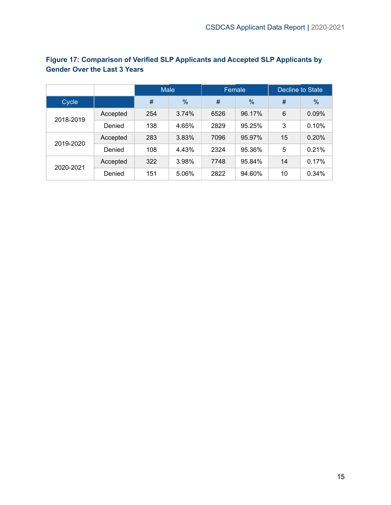|           |          | <b>Male</b> |               |      | Female        | Decline to State |               |  |
|-----------|----------|-------------|---------------|------|---------------|------------------|---------------|--|
| Cycle     |          | #           | $\frac{0}{0}$ | #    | $\frac{0}{0}$ | #                | $\frac{0}{0}$ |  |
| 2018-2019 | Accepted | 254         | 3.74%         | 6526 | 96.17%        | 6                | 0.09%         |  |
|           | Denied   | 138         | 4.65%         | 2829 | 95.25%        | 3                | 0.10%         |  |
| 2019-2020 | Accepted | 283         | 3.83%         | 7096 | 95.97%        | 15               | 0.20%         |  |
|           | Denied   | 108         | 4.43%         | 2324 | 95.36%        | 5                | 0.21%         |  |
| 2020-2021 | Accepted | 322         | 3.98%         | 7748 | 95.84%        | 14               | 0.17%         |  |
|           | Denied   | 151         | 5.06%         | 2822 | 94.60%        | 10               | 0.34%         |  |

#### <span id="page-15-0"></span>**Figure 17: Comparison of Verified SLP Applicants and Accepted SLP Applicants by Gender Over the Last 3 Years**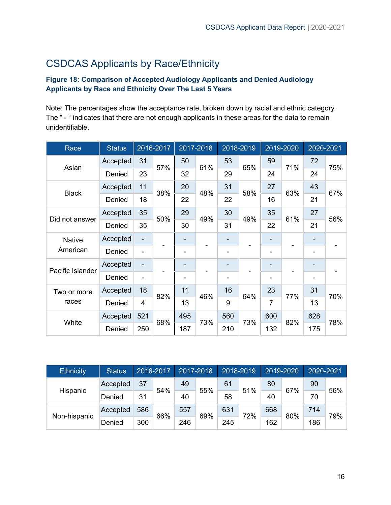# <span id="page-16-0"></span>CSDCAS Applicants by Race/Ethnicity

#### <span id="page-16-1"></span>**Figure 18: Comparison of Accepted Audiology Applicants and Denied Audiology Applicants by Race and Ethnicity Over The Last 5 Years**

Note: The percentages show the acceptance rate, broken down by racial and ethnic category. The " - " indicates that there are not enough applicants in these areas for the data to remain unidentifiable.

| Race             | <b>Status</b> |                              | 2016-2017 |     | 2017-2018 |                          | 2018-2019 |                | 2019-2020 |                              | 2020-2021 |
|------------------|---------------|------------------------------|-----------|-----|-----------|--------------------------|-----------|----------------|-----------|------------------------------|-----------|
| Asian            | Accepted      | 31                           | 57%       | 50  | 61%       | 53                       | 65%       | 59             | 71%       | 72                           | 75%       |
|                  | Denied        | 23                           |           | 32  |           | 29                       |           | 24             |           | 24                           |           |
| <b>Black</b>     | Accepted      | 11                           | 38%       | 20  | 48%       | 31                       | 58%       | 27             | 63%       | 43                           | 67%       |
|                  | Denied        | 18                           |           | 22  |           | 22                       |           | 16             |           | 21                           |           |
| Did not answer   | Accepted      | 35                           | 50%       | 29  | 49%       | 30                       | 49%       | 35             | 61%       | 27                           | 56%       |
|                  | Denied        | 35                           |           | 30  |           | 31                       |           | 22             |           | 21                           |           |
| <b>Native</b>    | Accepted      | -                            |           |     |           |                          |           |                |           |                              |           |
| American         | Denied        | $\qquad \qquad \blacksquare$ |           | -   |           | -                        |           |                |           | $\qquad \qquad \blacksquare$ |           |
| Pacific Islander | Accepted      | -                            |           |     |           |                          |           |                |           |                              |           |
|                  | Denied        | $\overline{\phantom{a}}$     |           |     |           | $\overline{\phantom{a}}$ |           |                |           | ۰                            |           |
| Two or more      | Accepted      | 18                           | 82%       | 11  | 46%       | 16                       | 64%       | 23             | 77%       | 31                           | 70%       |
| races            | Denied        | $\overline{4}$               |           | 13  |           | 9                        |           | $\overline{7}$ |           | 13                           |           |
|                  | Accepted      | 521                          | 68%       | 495 | 73%       | 560                      | 73%       | 600            | 82%       | 628                          | 78%       |
| White            | Denied        | 250                          |           | 187 |           | 210                      |           | 132            |           | 175                          |           |

| <b>Ethnicity</b> | <b>Status</b> |     | 2016-2017 |     | 2017-2018 | 2018-2019 |     |     | 2019-2020 | 2020-2021 |     |
|------------------|---------------|-----|-----------|-----|-----------|-----------|-----|-----|-----------|-----------|-----|
| Hispanic         | Accepted      | 37  | 54%       | 49  | 55%       | 61        | 51% | 80  | 67%       | 90        | 56% |
|                  | Denied        | 31  |           | 40  |           | 58        |     | 40  |           | 70        |     |
| Non-hispanic     | Accepted      | 586 | 66%       | 557 | 69%       | 631       | 72% | 668 | 80%       | 714       | 79% |
|                  | Denied        | 300 |           | 246 |           | 245       |     | 162 |           | 186       |     |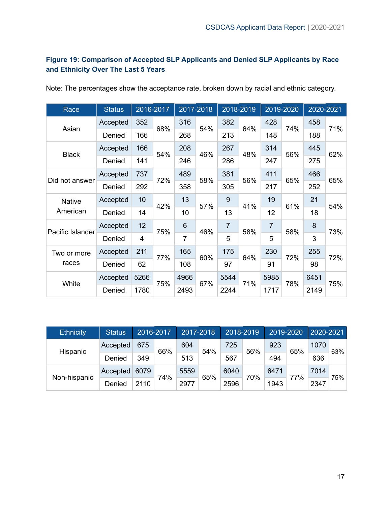#### <span id="page-17-0"></span>**Figure 19: Comparison of Accepted SLP Applicants and Denied SLP Applicants by Race and Ethnicity Over The Last 5 Years**

| Race             | <b>Status</b> |                | 2016-2017         |                 | 2017-2018 |                | 2018-2019 |                | 2019-2020 | 2020-2021 |     |
|------------------|---------------|----------------|-------------------|-----------------|-----------|----------------|-----------|----------------|-----------|-----------|-----|
| Asian            | Accepted      | 352            | 68%               | 316             | 54%       | 382            | 64%       | 428            | 74%       | 458       | 71% |
|                  | Denied        | 166            |                   | 268             |           | 213            |           | 148            |           | 188       |     |
| <b>Black</b>     | Accepted      | 166            | 54%               | 208             | 46%       | 267            | 48%       | 314            | 56%       | 445       | 62% |
|                  | Denied        | 141            |                   | 246             |           | 286            |           | 247            |           | 275       |     |
| Did not answer   | Accepted      | 737            | 489<br>58%<br>72% | 381             | 56%       | 411            | 65%       | 466            | 65%       |           |     |
|                  | Denied        | 292            |                   | 358             |           | 305            |           | 217            |           | 252       |     |
| <b>Native</b>    | Accepted      | 10             | 42%               | 13              | 57%       | 9              | 41%       | 19             | 61%       | 21        | 54% |
| American         | Denied        | 14             |                   | 10              |           | 13             |           | 12             |           | 18        |     |
| Pacific Islander | Accepted      | 12             | 75%               | $6\phantom{1}6$ | 46%       | $\overline{7}$ | 58%       | $\overline{7}$ | 58%       | 8         | 73% |
|                  | Denied        | $\overline{4}$ |                   | $\overline{7}$  |           | 5              |           | 5              |           | 3         |     |
| Two or more      | Accepted      | 211            | 77%               | 165             | 60%       | 175            | 64%       | 230            | 72%       | 255       | 72% |
| races            | Denied        | 62             |                   | 108             |           | 97             |           | 91             |           | 98        |     |
|                  | Accepted      | 5266           | 75%               | 4966            | 67%       | 5544           |           | 5985           | 78%       | 6451      | 75% |
| White            | Denied        | 1780           |                   | 2493            |           | 2244           | 71%       | 1717           |           | 2149      |     |

Note: The percentages show the acceptance rate, broken down by racial and ethnic category.

| <b>Ethnicity</b> | <b>Status</b> |      | 2016-2017 |      | 2017-2018 |      | 2018-2019 | 2019-2020 |     | 2020-2021 |     |
|------------------|---------------|------|-----------|------|-----------|------|-----------|-----------|-----|-----------|-----|
| Hispanic         | Accepted      | 675  | 66%       | 604  | 54%       | 725  | 56%       | 923       | 65% | 1070      | 63% |
|                  | Denied        | 349  |           | 513  |           | 567  |           | 494       |     | 636       |     |
| Non-hispanic     | Accepted      | 6079 | 74%       | 5559 | 65%       | 6040 | 70%       | 6471      | 77% | 7014      | 75% |
|                  | Denied        | 2110 |           | 2977 |           | 2596 |           | 1943      |     | 2347      |     |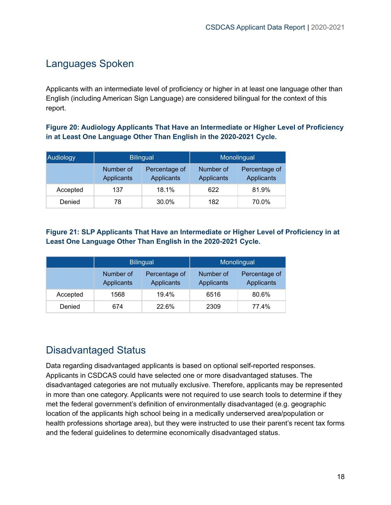# <span id="page-18-0"></span>Languages Spoken

Applicants with an intermediate level of proficiency or higher in at least one language other than English (including American Sign Language) are considered bilingual for the context of this report.

<span id="page-18-1"></span>**Figure 20: Audiology Applicants That Have an Intermediate or Higher Level of Proficiency in at Least One Language Other Than English in the 2020-2021 Cycle.**

| Audiology |                                | <b>Bilingual</b>            | Monolingual             |                                    |  |  |
|-----------|--------------------------------|-----------------------------|-------------------------|------------------------------------|--|--|
|           | Number of<br><b>Applicants</b> | Percentage of<br>Applicants | Number of<br>Applicants | Percentage of<br><b>Applicants</b> |  |  |
| Accepted  | 137                            | 18.1%                       | 622                     | 81.9%                              |  |  |
| Denied    | 78                             | 30.0%                       | 182                     | 70.0%                              |  |  |

<span id="page-18-2"></span>**Figure 21: SLP Applicants That Have an Intermediate or Higher Level of Proficiency in at Least One Language Other Than English in the 2020-2021 Cycle.**

|          |                                | <b>Bilingual</b>            | Monolingual             |                             |  |  |
|----------|--------------------------------|-----------------------------|-------------------------|-----------------------------|--|--|
|          | Number of<br><b>Applicants</b> | Percentage of<br>Applicants | Number of<br>Applicants | Percentage of<br>Applicants |  |  |
| Accepted | 1568                           | 19.4%                       | 6516                    | 80.6%                       |  |  |
| Denied   | 674                            | 22.6%                       | 2309                    | 77.4%                       |  |  |

### <span id="page-18-3"></span>Disadvantaged Status

Data regarding disadvantaged applicants is based on optional self-reported responses. Applicants in CSDCAS could have selected one or more disadvantaged statuses. The disadvantaged categories are not mutually exclusive. Therefore, applicants may be represented in more than one category. Applicants were not required to use search tools to determine if they met the federal government's definition of environmentally disadvantaged (e.g. geographic location of the applicants high school being in a medically underserved area/population or health professions shortage area), but they were instructed to use their parent's recent tax forms and the federal guidelines to determine economically disadvantaged status.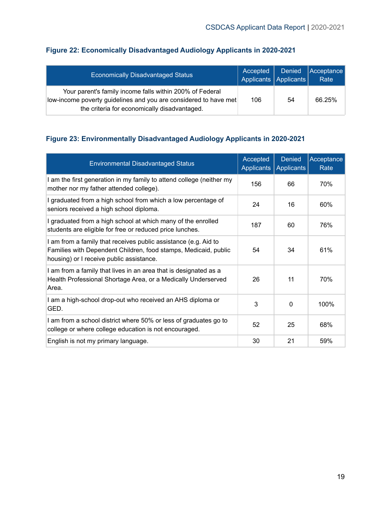| <b>Economically Disadvantaged Status</b>                                                                                                                                     | Accepted<br>Applicants Applicants | <b>Denied</b> | Acceptance<br>Rate |
|------------------------------------------------------------------------------------------------------------------------------------------------------------------------------|-----------------------------------|---------------|--------------------|
| Your parent's family income falls within 200% of Federal<br>low-income poverty guidelines and you are considered to have met<br>the criteria for economically disadvantaged. | 106                               | 54            | 66.25%             |

#### **Figure 22: Economically Disadvantaged Audiology Applicants in 2020-2021**

#### <span id="page-19-0"></span>**Figure 23: Environmentally Disadvantaged Audiology Applicants in 2020-2021**

<span id="page-19-1"></span>

| <b>Environmental Disadvantaged Status</b>                                                                                                                                      | Accepted<br><b>Applicants</b> | <b>Denied</b><br><b>Applicants</b> | Acceptance<br>Rate |
|--------------------------------------------------------------------------------------------------------------------------------------------------------------------------------|-------------------------------|------------------------------------|--------------------|
| I am the first generation in my family to attend college (neither my<br>mother nor my father attended college).                                                                | 156                           | 66                                 | 70%                |
| I graduated from a high school from which a low percentage of<br>seniors received a high school diploma.                                                                       | 24                            | 16                                 | 60%                |
| I graduated from a high school at which many of the enrolled<br>students are eligible for free or reduced price lunches.                                                       | 187                           | 60                                 | 76%                |
| I am from a family that receives public assistance (e.g. Aid to<br>Families with Dependent Children, food stamps, Medicaid, public<br>housing) or I receive public assistance. | 54                            | 34                                 | 61%                |
| I am from a family that lives in an area that is designated as a<br>Health Professional Shortage Area, or a Medically Underserved<br>Area.                                     | 26                            | 11                                 | 70%                |
| I am a high-school drop-out who received an AHS diploma or<br>GED.                                                                                                             | 3                             | $\Omega$                           | 100%               |
| I am from a school district where 50% or less of graduates go to<br>college or where college education is not encouraged.                                                      | 52                            | 25                                 | 68%                |
| English is not my primary language.                                                                                                                                            | 30                            | 21                                 | 59%                |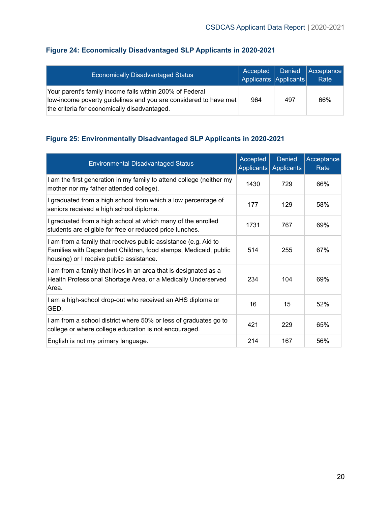| <b>Economically Disadvantaged Status</b>                                                                                                                                     | Accepted  <br>Applicants Applicants | Denied | Acceptance<br>Rate |
|------------------------------------------------------------------------------------------------------------------------------------------------------------------------------|-------------------------------------|--------|--------------------|
| Your parent's family income falls within 200% of Federal<br>low-income poverty guidelines and you are considered to have met<br>the criteria for economically disadvantaged. | 964                                 | 497    | 66%                |

#### **Figure 24: Economically Disadvantaged SLP Applicants in 2020-2021**

#### <span id="page-20-0"></span>**Figure 25: Environmentally Disadvantaged SLP Applicants in 2020-2021**

| <b>Environmental Disadvantaged Status</b>                                                                                                                                      | Accepted | <b>Denied</b><br>Applicants   Applicants | Acceptance<br>Rate |
|--------------------------------------------------------------------------------------------------------------------------------------------------------------------------------|----------|------------------------------------------|--------------------|
| I am the first generation in my family to attend college (neither my<br>mother nor my father attended college).                                                                | 1430     | 729                                      | 66%                |
| I graduated from a high school from which a low percentage of<br>seniors received a high school diploma.                                                                       | 177      | 129                                      | 58%                |
| I graduated from a high school at which many of the enrolled<br>students are eligible for free or reduced price lunches.                                                       | 1731     | 767                                      | 69%                |
| I am from a family that receives public assistance (e.g. Aid to<br>Families with Dependent Children, food stamps, Medicaid, public<br>housing) or I receive public assistance. | 514      | 255                                      | 67%                |
| I am from a family that lives in an area that is designated as a<br>Health Professional Shortage Area, or a Medically Underserved<br>Area.                                     | 234      | 104                                      | 69%                |
| I am a high-school drop-out who received an AHS diploma or<br>GED.                                                                                                             | 16       | 15                                       | 52%                |
| I am from a school district where 50% or less of graduates go to<br>college or where college education is not encouraged.                                                      | 421      | 229                                      | 65%                |
| English is not my primary language.                                                                                                                                            | 214      | 167                                      | 56%                |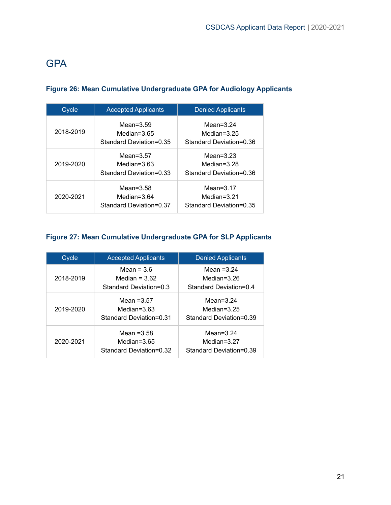# **GPA**

#### <span id="page-21-0"></span>**Figure 26: Mean Cumulative Undergraduate GPA for Audiology Applicants**

| Cycle                                                               | <b>Accepted Applicants</b>                                | <b>Denied Applicants</b>                                  |  |  |
|---------------------------------------------------------------------|-----------------------------------------------------------|-----------------------------------------------------------|--|--|
| 2018-2019                                                           | Mean= $3.59$<br>Median= $3.65$<br>Standard Deviation=0.35 | Mean= $3.24$<br>Median= $3.25$<br>Standard Deviation=0.36 |  |  |
| 2019-2020                                                           | Mean= $3.57$<br>Median= $3.63$<br>Standard Deviation=0.33 | Mean= $3.23$<br>Median= $3.28$<br>Standard Deviation=0.36 |  |  |
| Mean= $3.58$<br>2020-2021<br>Median=3.64<br>Standard Deviation=0.37 |                                                           | Mean= $3.17$<br>Median=3.21<br>Standard Deviation=0.35    |  |  |

#### <span id="page-21-1"></span>**Figure 27: Mean Cumulative Undergraduate GPA for SLP Applicants**

| Cycle     | <b>Accepted Applicants</b>                                 | <b>Denied Applicants</b>                                  |  |  |
|-----------|------------------------------------------------------------|-----------------------------------------------------------|--|--|
| 2018-2019 | Mean = $3.6$<br>Median = $3.62$<br>Standard Deviation=0.3  | Mean $=3.24$<br>Median=3.26<br>Standard Deviation=0.4     |  |  |
| 2019-2020 | Mean $=3.57$<br>Median= $3.63$<br>Standard Deviation=0.31  | Mean= $3.24$<br>Median= $3.25$<br>Standard Deviation=0.39 |  |  |
| 2020-2021 | Mean $= 3.58$<br>Median= $3.65$<br>Standard Deviation=0.32 | Mean= $3.24$<br>Median= $3.27$<br>Standard Deviation=0.39 |  |  |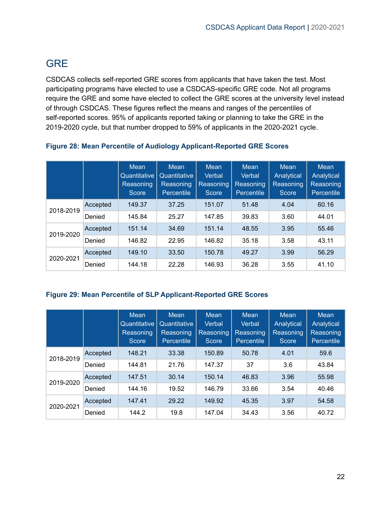# <span id="page-22-0"></span>**GRE**

CSDCAS collects self-reported GRE scores from applicants that have taken the test. Most participating programs have elected to use a CSDCAS-specific GRE code. Not all programs require the GRE and some have elected to collect the GRE scores at the university level instead of through CSDCAS. These figures reflect the means and ranges of the percentiles of self-reported scores. 95% of applicants reported taking or planning to take the GRE in the 2019-2020 cycle, but that number dropped to 59% of applicants in the 2020-2021 cycle.

|           |          | <b>Mean</b><br>Quantitative<br>Reasoning<br>Score | <b>Mean</b><br>Quantitative<br>Reasoning<br>Percentile | Mean<br>Verbal<br>Reasoning<br>Score | <b>Mean</b><br>Verbal<br>Reasoning<br>Percentile | <b>Mean</b><br>Analytical<br>Reasoning<br>Score | Mean<br>Analytical<br>Reasoning<br><b>Percentile</b> |
|-----------|----------|---------------------------------------------------|--------------------------------------------------------|--------------------------------------|--------------------------------------------------|-------------------------------------------------|------------------------------------------------------|
| 2018-2019 | Accepted | 149.37                                            | 37.25                                                  | 151.07                               | 51.48                                            | 4.04                                            | 60.16                                                |
|           | Denied   | 145.84                                            | 25.27                                                  | 147.85                               | 39.83                                            | 3.60                                            | 44.01                                                |
| 2019-2020 | Accepted | 151.14                                            | 34.69                                                  | 151.14                               | 48.55                                            | 3.95                                            | 55.46                                                |
|           | Denied   | 146.82                                            | 22.95                                                  | 146.82                               | 35.18                                            | 3.58                                            | 43.11                                                |
| 2020-2021 | Accepted | 149.10                                            | 33.50                                                  | 150.78                               | 49.27                                            | 3.99                                            | 56.29                                                |
|           | Denied   | 144.18                                            | 22.28                                                  | 146.93                               | 36.28                                            | 3.55                                            | 41.10                                                |

#### <span id="page-22-1"></span>**Figure 28: Mean Percentile of Audiology Applicant-Reported GRE Scores**

#### <span id="page-22-2"></span>**Figure 29: Mean Percentile of SLP Applicant-Reported GRE Scores**

|           |          | <b>Mean</b><br>Quantitative<br>Reasoning<br>Score | <b>Mean</b><br>Quantitative<br>Reasoning<br>Percentile | Mean<br>Verbal<br>Reasoning<br>Score | Mean<br>Verbal<br>Reasoning<br><b>Percentile</b> | <b>Mean</b><br>Analytical<br>Reasoning<br><b>Score</b> | Mean<br>Analytical<br>Reasoning<br><b>Percentile</b> |
|-----------|----------|---------------------------------------------------|--------------------------------------------------------|--------------------------------------|--------------------------------------------------|--------------------------------------------------------|------------------------------------------------------|
| 2018-2019 | Accepted | 148.21                                            | 33.38                                                  | 150.89                               | 50.78                                            | 4.01                                                   | 59.6                                                 |
|           | Denied   | 144.81                                            | 21.76                                                  | 147.37                               | 37                                               | 3.6                                                    | 43.84                                                |
| 2019-2020 | Accepted | 147.51                                            | 30.14                                                  | 150.14                               | 46.83                                            | 3.96                                                   | 55.98                                                |
|           | Denied   | 144.16                                            | 19.52                                                  | 146.79                               | 33.66                                            | 3.54                                                   | 40.46                                                |
| 2020-2021 | Accepted | 147.41                                            | 29.22                                                  | 149.92                               | 45.35                                            | 3.97                                                   | 54.58                                                |
|           | Denied   | 144.2                                             | 19.8                                                   | 147.04                               | 34.43                                            | 3.56                                                   | 40.72                                                |